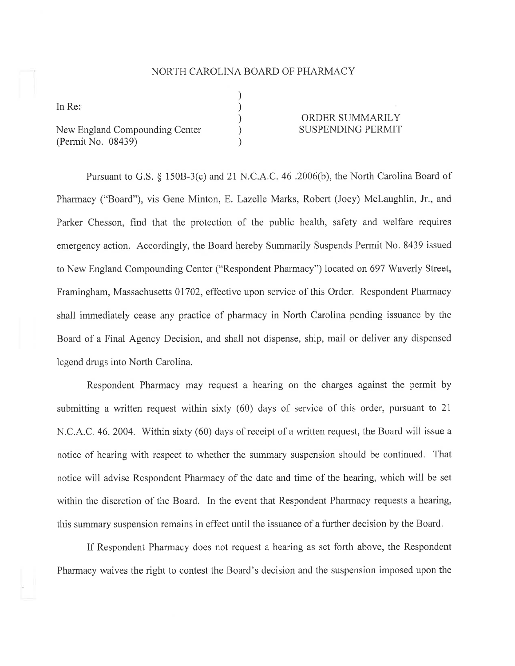## NORTH CAROLINA BOARD OF PHARMACY

) ) ) ) )

In Re

New England Compounding Center (Permit No, 08439)

## ORDER SUMMARILY SUSPENDING PERMIT

Pursuant to G.S. \$ 1508-3(c) and 21 N.C.A.C. 46 .2006(b), the North Carolina Board of Pharmacy ("Board"), vis Gene Minton, E. Lazelle Marks, Robert (Joey) Mclaughlin, Jr., and Parker Chesson, find that the protection of the public health, safety and welfare requires emergency action. Accordingly, the Board hereby Summarily Suspends Permit No. 8439 issued to New England Compounding Center ("Respondent Pharmacy") located on 697 Waverly Street, Framingham, Massachusetts 01702, effective upon service of this Order. Respondent Pharmacy shall immediately cease any practice of pharmacy in North Carolina pending issuance by the Board of a Final Agency Decision, and shall not dispense, ship, mail or deliver any dispensed legend drugs into North Carolina.

Respondent Pharmacy may request a hearing on the charges against the permit by submitting a written request within sixty (60) days of service of this order, pursuant to 21 N.C.A.C. 46. 2004. Within sixty (60) days of receipt of a written request, the Board will issue <sup>a</sup> notice of hearing with respect to whether the summary suspension should be continued. That notice will advise Respondent Pharmacy of the date and time of the hearing, which will be set within the discretion of the Board. In the event that Respondent Pharmacy requests a hearing, this summary suspension remains in effect until the issuance of a further decision by the Board.

If Respondent Pharmacy does not request a hearing as set forth above, the Respondent Pharmacy waives the right to contest the Board's decision and the suspension imposed upon the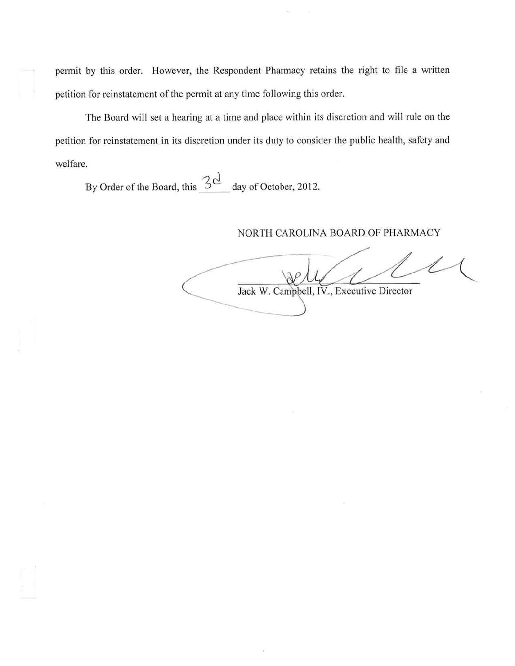permit by this order. However, the Respondent Pharmacy retains the right to file a written petition for reinstatement of the permit at any time following this order.

The Board will set a hearing at a time and place within its discretion and will rule on the petition for reinstatement in its discretion under its duty to consider the public health, safety and welfare.

By Order of the Board, this  $\frac{3Q}{Q}$  day of October, 2012.

## NORTH CAROLINA BOARD OF PHARMACY

Jack W. Campbell, IV., Executive Director